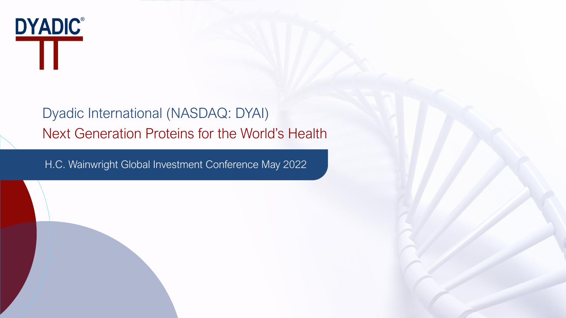

# Dyadic International (NASDAQ: DYAI) Next Generation Proteins for the World's Health

H.C. Wainwright Global Investment Conference May 2022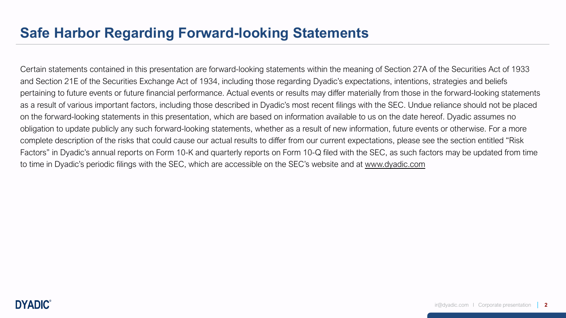## **Safe Harbor Regarding Forward-looking Statements**

Certain statements contained in this presentation are forward-looking statements within the meaning of Section 27A of the Securities Act of 1933 and Section 21E of the Securities Exchange Act of 1934, including those regarding Dyadic's expectations, intentions, strategies and beliefs pertaining to future events or future financial performance. Actual events or results may differ materially from those in the forward-looking statements as a result of various important factors, including those described in Dyadic's most recent filings with the SEC. Undue reliance should not be placed on the forward-looking statements in this presentation, which are based on information available to us on the date hereof. Dyadic assumes no obligation to update publicly any such forward-looking statements, whether as a result of new information, future events or otherwise. For a more complete description of the risks that could cause our actual results to differ from our current expectations, please see the section entitled "Risk Factors" in Dyadic's annual reports on Form 10-K and quarterly reports on Form 10-Q filed with the SEC, as such factors may be updated from time to time in Dyadic's periodic filings with the SEC, which are accessible on the SEC's website and at [www.dyadic.com](http://www.dyadic.com/)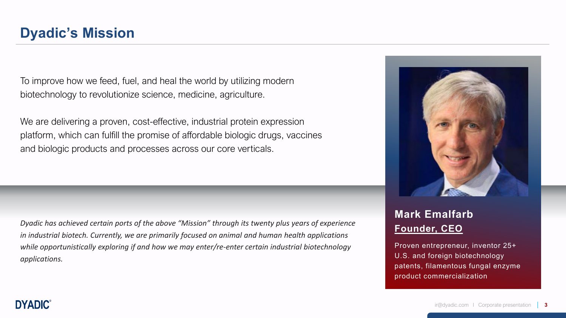To improve how we feed, fuel, and heal the world by utilizing modern biotechnology to revolutionize science, medicine, agriculture.

We are delivering a proven, cost-effective, industrial protein expression platform, which can fulfill the promise of affordable biologic drugs, vaccines and biologic products and processes across our core verticals.

*Dyadic has achieved certain ports of the above "Mission" through its twenty plus years of experience in industrial biotech. Currently, we are primarily focused on animal and human health applications while opportunistically exploring if and how we may enter/re-enter certain industrial biotechnology applications.* 



## **Mark Emalfarb Founder, CEO**

Proven entrepreneur, inventor 25+ U.S. and foreign biotechnology patents, filamentous fungal enzyme product commercialization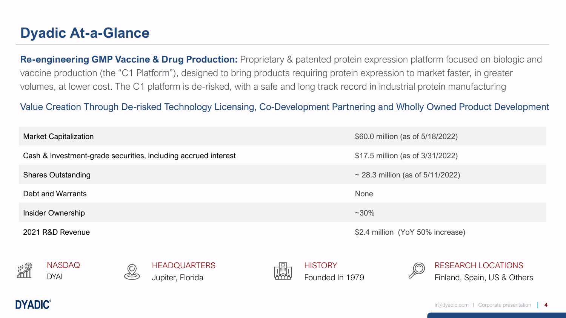## **Dyadic At-a-Glance**

**Re-engineering GMP Vaccine & Drug Production:** Proprietary & patented protein expression platform focused on biologic and vaccine production (the "C1 Platform"), designed to bring products requiring protein expression to market faster, in greater volumes, at lower cost. The C1 platform is de-risked, with a safe and long track record in industrial protein manufacturing

Value Creation Through De-risked Technology Licensing, Co-Development Partnering and Wholly Owned Product Development

| <b>Market Capitalization</b>                                   | \$60.0 million (as of 5/18/2022)   |
|----------------------------------------------------------------|------------------------------------|
| Cash & Investment-grade securities, including accrued interest | \$17.5 million (as of 3/31/2022)   |
| <b>Shares Outstanding</b>                                      | ~28.3 million (as of $5/11/2022$ ) |
| Debt and Warrants                                              | <b>None</b>                        |
| Insider Ownership                                              | $~1.30\%$                          |
| 2021 R&D Revenue                                               | \$2.4 million (YoY 50% increase)   |









**HISTORY** Founded In 1979



RESEARCH LOCATIONS Finland, Spain, US & Others

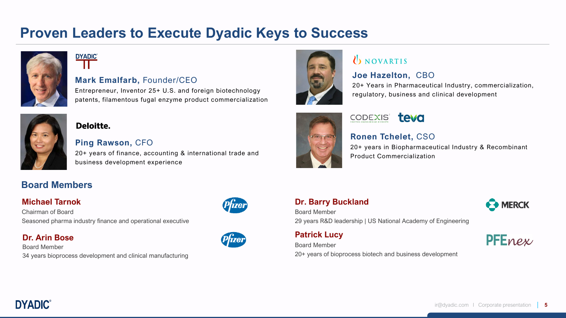## **Proven Leaders to Execute Dyadic Keys to Success**



# **DYADIC®**

### **Mark Emalfarb,** Founder/CEO

Entrepreneur, Inventor 25+ U.S. and foreign biotechnology patents, filamentous fugal enzyme product commercialization



### Deloitte.

### **Ping Rawson,** CFO

20+ years of finance, accounting & international trade and business development experience

### **Board Members**

### **Michael Tarnok**

Chairman of Board Seasoned pharma industry finance and operational executive

### **Dr. Arin Bose**

Board Member 34 years bioprocess development and clinical manufacturing







## UNOVARTIS

### **Joe Hazelton,** CBO

20+ Years in Pharmaceutical Industry, commercialization, regulatory, business and clinical development



## CODEXIS<sup>®</sup> teva

### **Ronen Tchelet,** CSO

20+ years in Biopharmaceutical Industry & Recombinant Product Commercialization

### **Dr. Barry Buckland**

Board Member

29 years R&D leadership | US National Academy of Engineering

**Patrick Lucy**

PFEnex

**MERCK** 

Board Member 20+ years of bioprocess biotech and business development

**DYADIC**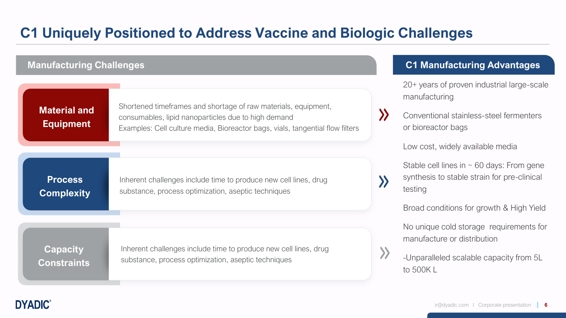# **C1 Uniquely Positioned to Address Vaccine and Biologic Challenges**

| <b>Manufacturing Challenges</b>         |                                                                                                                                                                                                        |                       | <b>C1 Manufacturing Advantages</b>                                                                       |
|-----------------------------------------|--------------------------------------------------------------------------------------------------------------------------------------------------------------------------------------------------------|-----------------------|----------------------------------------------------------------------------------------------------------|
|                                         |                                                                                                                                                                                                        |                       | 20+ years of proven industrial large-scale<br>manufacturing                                              |
| <b>Material and</b><br><b>Equipment</b> | Shortened timeframes and shortage of raw materials, equipment,<br>consumables, lipid nanoparticles due to high demand<br>Examples: Cell culture media, Bioreactor bags, vials, tangential flow filters | $\boldsymbol{\Sigma}$ | Conventional stainless-steel fermenters<br>or bioreactor bags                                            |
|                                         |                                                                                                                                                                                                        |                       | Low cost, widely available media                                                                         |
| <b>Process</b><br><b>Complexity</b>     | Inherent challenges include time to produce new cell lines, drug<br>substance, process optimization, aseptic techniques                                                                                |                       | Stable cell lines in $\sim$ 60 days: From gene<br>synthesis to stable strain for pre-clinical<br>testing |
|                                         |                                                                                                                                                                                                        |                       | Broad conditions for growth & High Yield                                                                 |
|                                         |                                                                                                                                                                                                        |                       | No unique cold storage requirements for<br>manufacture or distribution                                   |
| <b>Capacity</b><br><b>Constraints</b>   | Inherent challenges include time to produce new cell lines, drug<br>substance, process optimization, aseptic techniques                                                                                |                       | -Unparalleled scalable capacity from 5L<br>to 500KL                                                      |
|                                         |                                                                                                                                                                                                        |                       |                                                                                                          |

**DYADIC®** 

### ir@dyadic.com I Corporate presentation **6**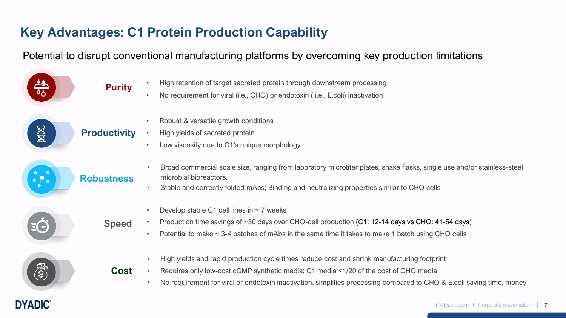## **Key Advantages: C1 Protein Production Capability**

**DYADIC®** 

## Potential to disrupt conventional manufacturing platforms by overcoming key production limitations

|              | <b>Purity</b>       | High retention of target secreted protein through downstream processing<br>No requirement for viral (i.e., CHO) or endotoxin (i.e., E.coli) inactivation<br>$\bullet$                                                                                                                                                                  |
|--------------|---------------------|----------------------------------------------------------------------------------------------------------------------------------------------------------------------------------------------------------------------------------------------------------------------------------------------------------------------------------------|
| <b>Extra</b> | <b>Productivity</b> | Robust & versatile growth conditions<br>$\bullet$<br>High yields of secreted protein<br>Low viscosity due to C1's unique morphology<br>$\bullet$                                                                                                                                                                                       |
|              | <b>Robustness</b>   | Broad commercial scale size, ranging from laboratory microtiter plates, shake flasks, single use and/or stainless-steel<br>$\bullet$<br>microbial bioreactors.<br>Stable and correctly folded mAbs; Binding and neutralizing properties similar to CHO cells<br>$\bullet$                                                              |
|              | <b>Speed</b>        | Develop stable C1 cell lines in $\sim$ 7 weeks<br>$\bullet$<br>Production time savings of ~30 days over CHO-cell production (C1: 12-14 days vs CHO: 41-54 days)<br>Potential to make $\sim$ 3-4 batches of mAbs in the same time it takes to make 1 batch using CHO cells<br>$\bullet$                                                 |
|              | <b>Cost</b>         | High yields and rapid production cycle times reduce cost and shrink manufacturing footprint<br>$\bullet$<br>Requires only low-cost cGMP synthetic media; C1 media <1/20 of the cost of CHO media<br>No requirement for viral or endotoxin inactivation, simplifies processing compared to CHO & E.coli saving time, money<br>$\bullet$ |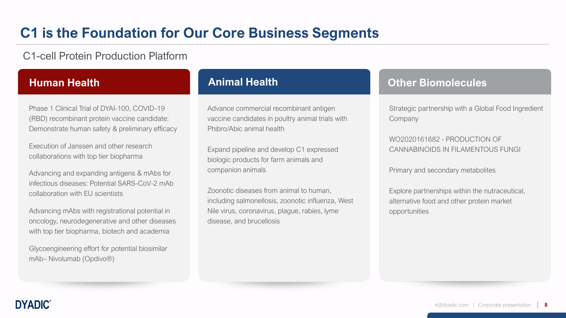## **C1 is the Foundation for Our Core Business Segments**

C1-cell Protein Production Platform

Phase 1 Clinical Trial of DYAI-100, COVID-19 (RBD) recombinant protein vaccine candidate: Demonstrate human safety & preliminary efficacy

Execution of Janssen and other research collaborations with top tier biopharma

Advancing and expanding antigens & mAbs for infectious diseases: Potential SARS-CoV-2 mAb collaboration with EU scientists

Advancing mAbs with registrational potential in oncology, neurodegenerative and other diseases with top tier biopharma, biotech and academia

Glycoengineering effort for potential biosimilar mAb– Nivolumab (Opdivo®)

Advance commercial recombinant antigen vaccine candidates in poultry animal trials with Phibro/Abic animal health

Expand pipeline and develop C1 expressed biologic products for farm animals and companion animals

Zoonotic diseases from animal to human, including salmonellosis, zoonotic influenza, West Nile virus, coronavirus, plague, rabies, lyme disease, and brucellosis

### **Human Health Animal Health Other Biomolecules**

Strategic partnership with a Global Food Ingredient Company

WO2020161682 - PRODUCTION OF CANNABINOIDS IN FILAMENTOUS FUNGI

Primary and secondary metabolites

Explore partnerships within the nutraceutical, alternative food and other protein market opportunities

**DYADIC**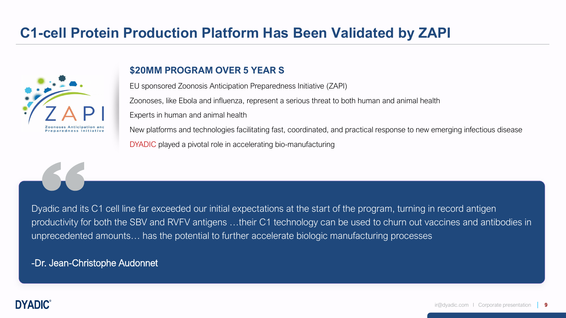## **C1-cell Protein Production Platform Has Been Validated by ZAPI**



### **\$20MM PROGRAM OVER 5 YEAR S**

EU sponsored Zoonosis Anticipation Preparedness Initiative (ZAPI) Zoonoses, like Ebola and influenza, represent a serious threat to both human and animal health Experts in human and animal health New platforms and technologies facilitating fast, coordinated, and practical response to new emerging infectious disease DYADIC played a pivotal role in accelerating bio-manufacturing

Dyadic and its C1 cell line far exceeded our initial expectations at the start of the program, turning in record antigen productivity for both the SBV and RVFV antigens …their C1 technology can be used to churn out vaccines and antibodies in unprecedented amounts… has the potential to further accelerate biologic manufacturing processes

-Dr. Jean-Christophe Audonnet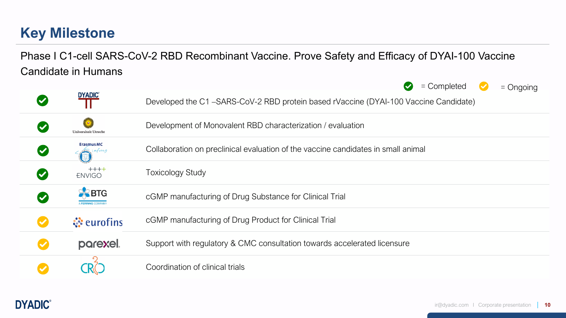# **Key Milestone**

## Phase I C1-cell SARS-CoV-2 RBD Recombinant Vaccine. Prove Safety and Efficacy of DYAI-100 Vaccine Candidate in Humans

|                      |                           | $=$ Completed<br>$\blacktriangledown$<br>$=$ Ongoing                                |
|----------------------|---------------------------|-------------------------------------------------------------------------------------|
|                      | <b>DYADIC®</b>            | Developed the C1-SARS-CoV-2 RBD protein based rVaccine (DYAI-100 Vaccine Candidate) |
|                      | Universiteit Utrech       | Development of Monovalent RBD characterization / evaluation                         |
| $\blacktriangledown$ | <b>ErasmusMC</b><br>afire | Collaboration on preclinical evaluation of the vaccine candidates in small animal   |
|                      | $+++++$<br><b>ENVIGO</b>  | <b>Toxicology Study</b>                                                             |
|                      | <b>X</b> BTG              | cGMP manufacturing of Drug Substance for Clinical Trial                             |
|                      | <b><i>∜</i></b> eurofins  | cGMP manufacturing of Drug Product for Clinical Trial                               |
|                      | parexel.                  | Support with regulatory & CMC consultation towards accelerated licensure            |
|                      |                           | Coordination of clinical trials                                                     |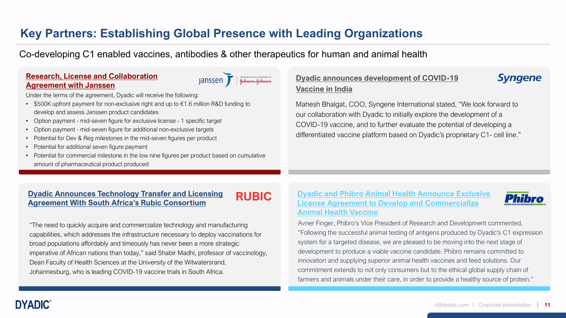## **Key Partners: Establishing Global Presence with Leading Organizations**

Co-developing C1 enabled vaccines, antibodies & other therapeutics for human and animal health

### **[Research, License and Collaboration](https://finance.yahoo.com/news/dyadic-announces-research-license-collaboration-120000301.html)  Agreement with Janssen**

Janssen F Gehmoon of Change of September 1

Under the terms of the agreement, Dyadic will receive the following:

- $$500K$  upfront payment for non-exclusive right and up to  $$1.6$  million R&D funding to develop and assess Janssen product candidates
- Option payment mid-seven figure for exclusive license 1 specific target
- Option payment mid-seven figure for additional non-exclusive targets
- Potential for Dev & Reg milestones in the mid-seven figures per product
- Potential for additional seven figure payment
- Potential for commercial milestone in the low nine figures per product based on cumulative amount of pharmaceutical product produced

### **[Dyadic announces development of COVID-19](https://irdirect.net/prviewer/release_only/id/4740967) Vaccine in India**

Mahesh Bhalgat, COO, Syngene International stated, "We look forward to our collaboration with Dyadic to initially explore the development of a COVID-19 vaccine, and to further evaluate the potential of developing a differentiated vaccine platform based on Dyadic's proprietary C1- cell line."

# **[Dyadic Announces Technology Transfer and Licensing](https://www.globenewswire.com/en/news-release/2021/07/27/2269423/0/en/Dyadic-Announces-Technology-Transfer-and-Licensing-Agreement-With-South-Africa-s-Rubic-Consortium-Aiming-to-Develop-and-Commercialize-Vaccines-for-Distribution-Throughout-the-Afric.html) RUBIC Agreement With South Africa's Rubic Consortium**

"The need to quickly acquire and commercialize technology and manufacturing capabilities, which addresses the infrastructure necessary to deploy vaccinations for broad populations affordably and timeously has never been a more strategic imperative of African nations than today," said Shabir Madhi, professor of vaccinology, Dean Faculty of Health Sciences at the University of the Witwatersrand, Johannesburg, who is leading COVID-19 vaccine trials in South Africa.

### **Dyadic and Phibro Animal Health Announce Exclusive [License Agreement to Develop and Commercialize](https://www.globenewswire.com/news-release/2022/02/10/2382886/0/en/Dyadic-and-Phibro-Animal-Health-Announce-Exclusive-License-Agreement-to-Develop-and-Commercialize-Animal-Health-Vaccine.html)  Animal Health Vaccine**



**Syngene** 

Avner Finger, Phibro's Vice President of Research and Development commented, "Following the successful animal testing of antigens produced by Dyadic's C1 expression system for a targeted disease, we are pleased to be moving into the next stage of development to produce a viable vaccine candidate. Phibro remains committed to innovation and supplying superior animal health vaccines and feed solutions. Our commitment extends to not only consumers but to the ethical global supply chain of farmers and animals under their care, in order to provide a healthy source of protein."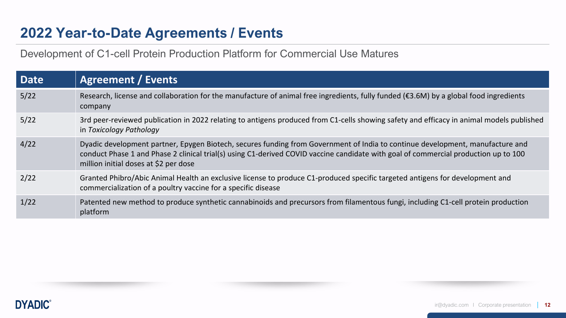## **2022 Year-to-Date Agreements / Events**

Development of C1-cell Protein Production Platform for Commercial Use Matures

| <b>Date</b> | <b>Agreement / Events</b>                                                                                                                                                                                                                                                                                     |
|-------------|---------------------------------------------------------------------------------------------------------------------------------------------------------------------------------------------------------------------------------------------------------------------------------------------------------------|
| 5/22        | Research, license and collaboration for the manufacture of animal free ingredients, fully funded ( $\epsilon$ 3.6M) by a global food ingredients<br>company                                                                                                                                                   |
| 5/22        | 3rd peer-reviewed publication in 2022 relating to antigens produced from C1-cells showing safety and efficacy in animal models published<br>in Toxicology Pathology                                                                                                                                           |
| 4/22        | Dyadic development partner, Epygen Biotech, secures funding from Government of India to continue development, manufacture and<br>conduct Phase 1 and Phase 2 clinical trial(s) using C1-derived COVID vaccine candidate with goal of commercial production up to 100<br>million initial doses at \$2 per dose |
| 2/22        | Granted Phibro/Abic Animal Health an exclusive license to produce C1-produced specific targeted antigens for development and<br>commercialization of a poultry vaccine for a specific disease                                                                                                                 |
| 1/22        | Patented new method to produce synthetic cannabinoids and precursors from filamentous fungi, including C1-cell protein production<br>platform                                                                                                                                                                 |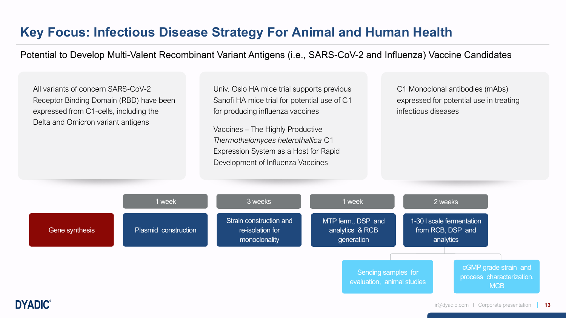## **Key Focus: Infectious Disease Strategy For Animal and Human Health**

Potential to Develop Multi-Valent Recombinant Variant Antigens (i.e., SARS-CoV-2 and Influenza) Vaccine Candidates

All variants of concern SARS-CoV-2 Receptor Binding Domain (RBD) have been expressed from C1-cells, including the Delta and Omicron variant antigens

Univ. Oslo HA mice trial supports previous Sanofi HA mice trial for potential use of C1 for producing influenza vaccines

Vaccines – The Highly Productive *Thermothelomyces heterothallica* C1 Expression System as a Host for Rapid Development of Influenza Vaccines

C1 Monoclonal antibodies (mAbs) expressed for potential use in treating infectious diseases

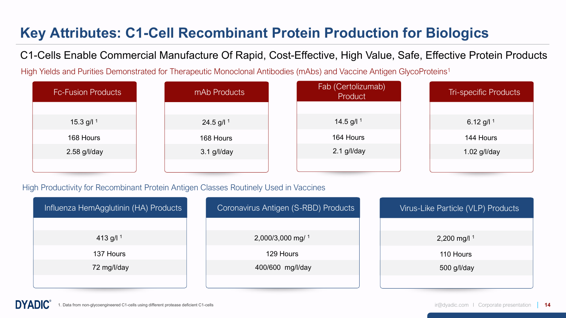# **Key Attributes: C1-Cell Recombinant Protein Production for Biologics**

C1-Cells Enable Commercial Manufacture Of Rapid, Cost-Effective, High Value, Safe, Effective Protein Products

High Yields and Purities Demonstrated for Therapeutic Monoclonal Antibodies (mAbs) and Vaccine Antigen GlycoProteins<sup>1</sup>

| <b>Fc-Fusion Products</b> | mAb Products  | Fab (Certolizumab)<br>Product | <b>Tri-specific Products</b> |
|---------------------------|---------------|-------------------------------|------------------------------|
|                           |               |                               |                              |
| 15.3 g/l $1$              | 24.5 g/l $1$  | 14.5 g/l $1$                  | 6.12 g/l $1$                 |
| 168 Hours                 | 168 Hours     | 164 Hours                     | 144 Hours                    |
| 2.58 g/l/day              | $3.1$ g/l/day | $2.1$ g/l/day                 | 1.02 g/l/day                 |
|                           |               |                               |                              |

### High Productivity for Recombinant Protein Antigen Classes Routinely Used in Vaccines

| Influenza HemAgglutinin (HA) Products | Coronavirus Antigen (S-RBD) Products | Virus-Like Particle (VLP) Products |
|---------------------------------------|--------------------------------------|------------------------------------|
|                                       |                                      |                                    |
| 413 g/l $1$                           | 2,000/3,000 mg/ 1                    | 2,200 mg/l $1$                     |
| 137 Hours                             | 129 Hours                            | 110 Hours                          |
| 72 mg/l/day                           | 400/600 mg/l/day                     | 500 g/l/day                        |
|                                       |                                      |                                    |

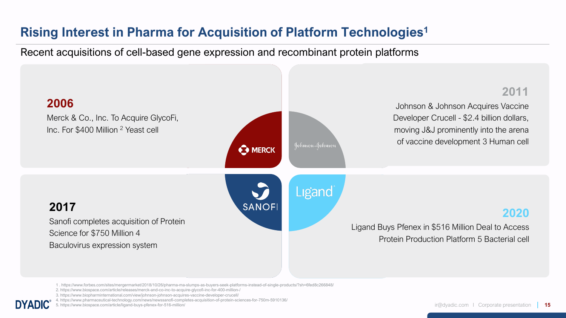## **Rising Interest in Pharma for Acquisition of Platform Technologies1**

Recent acquisitions of cell-based gene expression and recombinant protein platforms



<sup>1 .</sup> https://www.forbes.com/sites/mergermarket/2018/10/26/pharma-ma-slumps-as-buyers-seek-platforms-instead-of-single-products/?sh=6fed8c266848/

5. https://www.biospace.com/article/ligand-buys-pfenex-for-516-million/

<sup>2.</sup> https://www.biospace.com/article/releases/merck-and-co-inc-to-acquire-glycofi-inc-for-400-million-/

<sup>3.</sup> https://www.biopharminternational.com/view/johnson-johnson-acquires-vaccine-developer-crucell/

<sup>4.</sup> https://www.pharmaceutical-technology.com/news/newssanofi-completes-acquisition-of-protein-sciences-for-750m-5910136/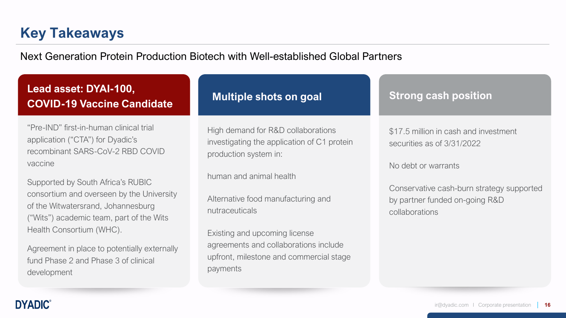# **Key Takeaways**

**DYADIC®** 

Next Generation Protein Production Biotech with Well-established Global Partners

| Lead asset: DYAI-100,<br><b>COVID-19 Vaccine Candidate</b>                                                                                                                                                                                                                                          | <b>Multiple shots on goal</b>                                                                                                                                                                                    | <b>Strong cash position</b>                                                                   |
|-----------------------------------------------------------------------------------------------------------------------------------------------------------------------------------------------------------------------------------------------------------------------------------------------------|------------------------------------------------------------------------------------------------------------------------------------------------------------------------------------------------------------------|-----------------------------------------------------------------------------------------------|
| "Pre-IND" first-in-human clinical trial<br>application ("CTA") for Dyadic's<br>recombinant SARS-CoV-2 RBD COVID<br>vaccine                                                                                                                                                                          | High demand for R&D collaborations<br>investigating the application of C1 protein<br>production system in:                                                                                                       | \$17.5 million in cash and investment<br>securities as of 3/31/2022<br>No debt or warrants    |
| Supported by South Africa's RUBIC<br>consortium and overseen by the University<br>of the Witwatersrand, Johannesburg<br>("Wits") academic team, part of the Wits<br>Health Consortium (WHC).<br>Agreement in place to potentially externally<br>fund Phase 2 and Phase 3 of clinical<br>development | human and animal health<br>Alternative food manufacturing and<br>nutraceuticals<br>Existing and upcoming license<br>agreements and collaborations include<br>upfront, milestone and commercial stage<br>payments | Conservative cash-burn strategy supported<br>by partner funded on-going R&D<br>collaborations |